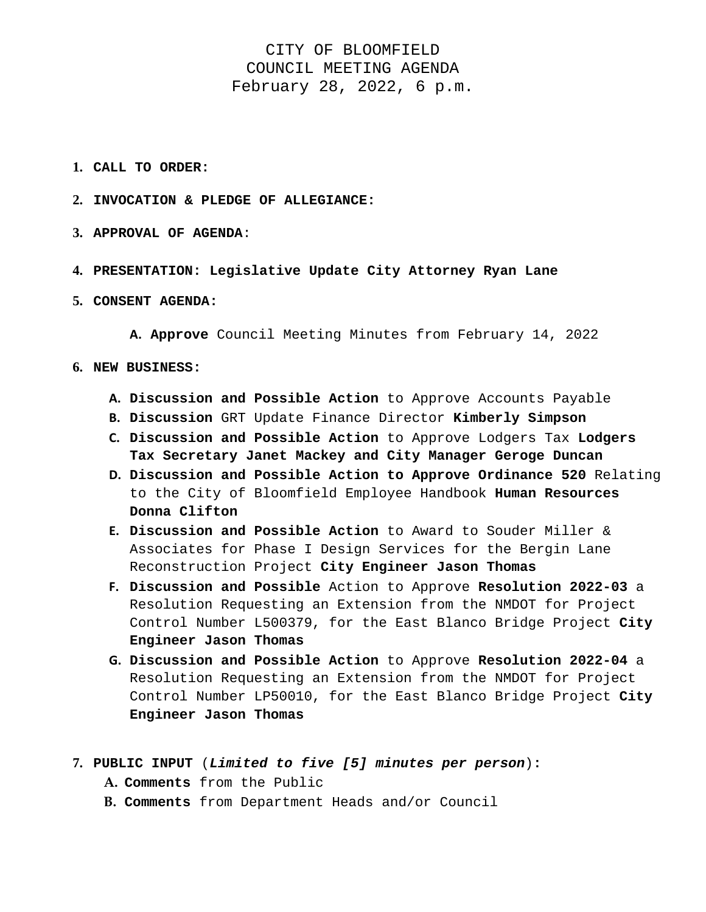## CITY OF BLOOMFIELD COUNCIL MEETING AGENDA February 28, 2022, 6 p.m.

- **1. CALL TO ORDER:**
- **2. INVOCATION & PLEDGE OF ALLEGIANCE:**
- **3. APPROVAL OF AGENDA**:
- **4. PRESENTATION: Legislative Update City Attorney Ryan Lane**
- **5. CONSENT AGENDA:**

**A. Approve** Council Meeting Minutes from February 14, 2022

- **6. NEW BUSINESS:** 
	- **A. Discussion and Possible Action** to Approve Accounts Payable
	- **B. Discussion** GRT Update Finance Director **Kimberly Simpson**
	- **C. Discussion and Possible Action** to Approve Lodgers Tax **Lodgers Tax Secretary Janet Mackey and City Manager Geroge Duncan**
	- **D. Discussion and Possible Action to Approve Ordinance 520** Relating to the City of Bloomfield Employee Handbook **Human Resources Donna Clifton**
	- **E. Discussion and Possible Action** to Award to Souder Miller & Associates for Phase I Design Services for the Bergin Lane Reconstruction Project **City Engineer Jason Thomas**
	- **F. Discussion and Possible** Action to Approve **Resolution 2022-03** a Resolution Requesting an Extension from the NMDOT for Project Control Number L500379, for the East Blanco Bridge Project **City Engineer Jason Thomas**
	- **G. Discussion and Possible Action** to Approve **Resolution 2022-04** a Resolution Requesting an Extension from the NMDOT for Project Control Number LP50010, for the East Blanco Bridge Project **City Engineer Jason Thomas**
- **7. PUBLIC INPUT** (*Limited to five [5] minutes per person*)**:** 
	- **A. Comments** from the Public
	- **B. Comments** from Department Heads and/or Council